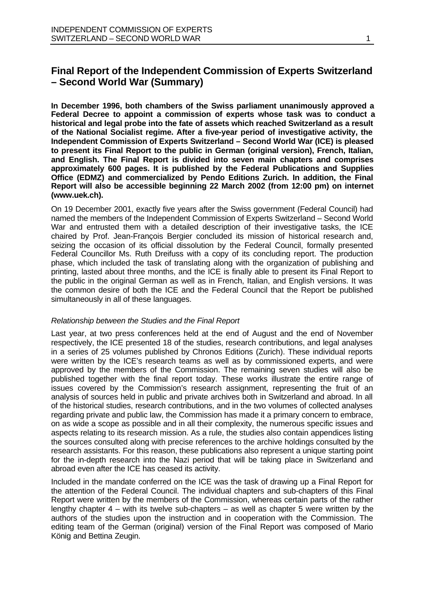**In December 1996, both chambers of the Swiss parliament unanimously approved a Federal Decree to appoint a commission of experts whose task was to conduct a historical and legal probe into the fate of assets which reached Switzerland as a result of the National Socialist regime. After a five-year period of investigative activity, the Independent Commission of Experts Switzerland – Second World War (ICE) is pleased to present its Final Report to the public in German (original version), French, Italian, and English. The Final Report is divided into seven main chapters and comprises approximately 600 pages. It is published by the Federal Publications and Supplies Office (EDMZ) and commercialized by Pendo Editions Zurich. In addition, the Final Report will also be accessible beginning 22 March 2002 (from 12:00 pm) on internet (www.uek.ch).**

On 19 December 2001, exactly five years after the Swiss government (Federal Council) had named the members of the Independent Commission of Experts Switzerland – Second World War and entrusted them with a detailed description of their investigative tasks, the ICE chaired by Prof. Jean-François Bergier concluded its mission of historical research and, seizing the occasion of its official dissolution by the Federal Council, formally presented Federal Councillor Ms. Ruth Dreifuss with a copy of its concluding report. The production phase, which included the task of translating along with the organization of publishing and printing, lasted about three months, and the ICE is finally able to present its Final Report to the public in the original German as well as in French, Italian, and English versions. It was the common desire of both the ICE and the Federal Council that the Report be published simultaneously in all of these languages.

## *Relationship between the Studies and the Final Report*

Last year, at two press conferences held at the end of August and the end of November respectively, the ICE presented 18 of the studies, research contributions, and legal analyses in a series of 25 volumes published by Chronos Editions (Zurich). These individual reports were written by the ICE's research teams as well as by commissioned experts, and were approved by the members of the Commission. The remaining seven studies will also be published together with the final report today. These works illustrate the entire range of issues covered by the Commission's research assignment, representing the fruit of an analysis of sources held in public and private archives both in Switzerland and abroad. In all of the historical studies, research contributions, and in the two volumes of collected analyses regarding private and public law, the Commission has made it a primary concern to embrace, on as wide a scope as possible and in all their complexity, the numerous specific issues and aspects relating to its research mission. As a rule, the studies also contain appendices listing the sources consulted along with precise references to the archive holdings consulted by the research assistants. For this reason, these publications also represent a unique starting point for the in-depth research into the Nazi period that will be taking place in Switzerland and abroad even after the ICE has ceased its activity.

Included in the mandate conferred on the ICE was the task of drawing up a Final Report for the attention of the Federal Council. The individual chapters and sub-chapters of this Final Report were written by the members of the Commission, whereas certain parts of the rather lengthy chapter 4 – with its twelve sub-chapters – as well as chapter 5 were written by the authors of the studies upon the instruction and in cooperation with the Commission. The editing team of the German (original) version of the Final Report was composed of Mario König and Bettina Zeugin.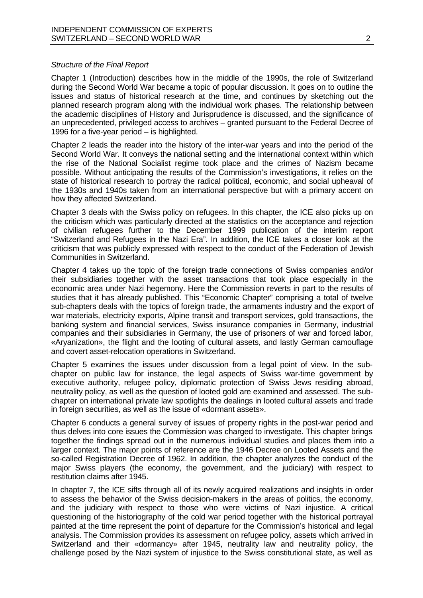## *Structure of the Final Report*

Chapter 1 (Introduction) describes how in the middle of the 1990s, the role of Switzerland during the Second World War became a topic of popular discussion. It goes on to outline the issues and status of historical research at the time, and continues by sketching out the planned research program along with the individual work phases. The relationship between the academic disciplines of History and Jurisprudence is discussed, and the significance of an unprecedented, privileged access to archives – granted pursuant to the Federal Decree of 1996 for a five-year period – is highlighted.

Chapter 2 leads the reader into the history of the inter-war years and into the period of the Second World War. It conveys the national setting and the international context within which the rise of the National Socialist regime took place and the crimes of Nazism became possible. Without anticipating the results of the Commission's investigations, it relies on the state of historical research to portray the radical political, economic, and social upheaval of the 1930s and 1940s taken from an international perspective but with a primary accent on how they affected Switzerland.

Chapter 3 deals with the Swiss policy on refugees. In this chapter, the ICE also picks up on the criticism which was particularly directed at the statistics on the acceptance and rejection of civilian refugees further to the December 1999 publication of the interim report "Switzerland and Refugees in the Nazi Era". In addition, the ICE takes a closer look at the criticism that was publicly expressed with respect to the conduct of the Federation of Jewish Communities in Switzerland.

Chapter 4 takes up the topic of the foreign trade connections of Swiss companies and/or their subsidiaries together with the asset transactions that took place especially in the economic area under Nazi hegemony. Here the Commission reverts in part to the results of studies that it has already published. This "Economic Chapter" comprising a total of twelve sub-chapters deals with the topics of foreign trade, the armaments industry and the export of war materials, electricity exports, Alpine transit and transport services, gold transactions, the banking system and financial services, Swiss insurance companies in Germany, industrial companies and their subsidiaries in Germany, the use of prisoners of war and forced labor, «Aryanization», the flight and the looting of cultural assets, and lastly German camouflage and covert asset-relocation operations in Switzerland.

Chapter 5 examines the issues under discussion from a legal point of view. In the subchapter on public law for instance, the legal aspects of Swiss war-time government by executive authority, refugee policy, diplomatic protection of Swiss Jews residing abroad, neutrality policy, as well as the question of looted gold are examined and assessed. The subchapter on international private law spotlights the dealings in looted cultural assets and trade in foreign securities, as well as the issue of «dormant assets».

Chapter 6 conducts a general survey of issues of property rights in the post-war period and thus delves into core issues the Commission was charged to investigate. This chapter brings together the findings spread out in the numerous individual studies and places them into a larger context. The major points of reference are the 1946 Decree on Looted Assets and the so-called Registration Decree of 1962. In addition, the chapter analyzes the conduct of the major Swiss players (the economy, the government, and the judiciary) with respect to restitution claims after 1945.

In chapter 7, the ICE sifts through all of its newly acquired realizations and insights in order to assess the behavior of the Swiss decision-makers in the areas of politics, the economy, and the judiciary with respect to those who were victims of Nazi injustice. A critical questioning of the historiography of the cold war period together with the historical portrayal painted at the time represent the point of departure for the Commission's historical and legal analysis. The Commission provides its assessment on refugee policy, assets which arrived in Switzerland and their «dormancy» after 1945, neutrality law and neutrality policy, the challenge posed by the Nazi system of injustice to the Swiss constitutional state, as well as